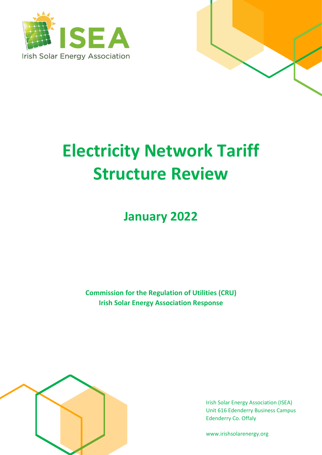



# **Electricity Network Tariff Structure Review**

**January 2022**

**Commission for the Regulation of Utilities (CRU) Irish Solar Energy Association Response**



Irish Solar Energy Association (ISEA) Unit 616 Edenderry Business Campus Edenderry Co. Offaly

www.irishsolarenergy.org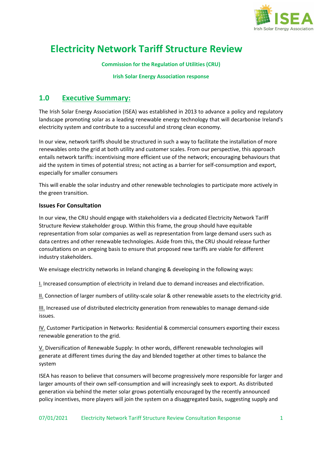

## **Electricity Network Tariff Structure Review**

**Commission for the Regulation of Utilities (CRU)**

#### **Irish Solar Energy Association response**

## **1.0 Executive Summary:**

The Irish Solar Energy Association (ISEA) was established in 2013 to advance a policy and regulatory landscape promoting solar as a leading renewable energy technology that will decarbonise Ireland's electricity system and contribute to a successful and strong clean economy.

In our view, network tariffs should be structured in such a way to facilitate the installation of more renewables onto the grid at both utility and customer scales. From our perspective, this approach entails network tariffs: incentivising more efficient use of the network; encouraging behaviours that aid the system in times of potential stress; not acting as a barrier for self-consumption and export, especially for smaller consumers

This will enable the solar industry and other renewable technologies to participate more actively in the green transition.

#### **Issues For Consultation**

In our view, the CRU should engage with stakeholders via a dedicated Electricity Network Tariff Structure Review stakeholder group. Within this frame, the group should have equitable representation from solar companies as well as representation from large demand users such as data centres and other renewable technologies. Aside from this, the CRU should release further consultations on an ongoing basis to ensure that proposed new tariffs are viable for different industry stakeholders.

We envisage electricity networks in Ireland changing & developing in the following ways:

I. Increased consumption of electricity in Ireland due to demand increases and electrification.

II. Connection of larger numbers of utility-scale solar & other renewable assets to the electricity grid.

III. Increased use of distributed electricity generation from renewables to manage demand-side issues.

IV. Customer Participation in Networks: Residential & commercial consumers exporting their excess renewable generation to the grid.

V. Diversification of Renewable Supply: In other words, different renewable technologies will generate at different times during the day and blended together at other times to balance the system

ISEA has reason to believe that consumers will become progressively more responsible for larger and larger amounts of their own self-consumption and will increasingly seek to export. As distributed generation via behind the meter solar grows potentially encouraged by the recently announced policy incentives, more players will join the system on a disaggregated basis, suggesting supply and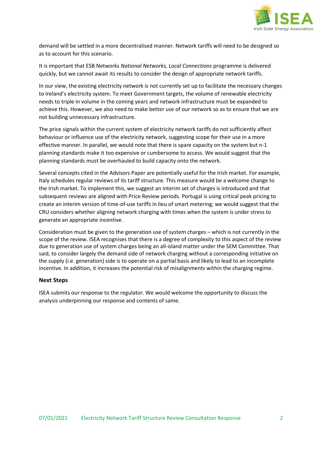

demand will be settled in a more decentralised manner. Network tariffs will need to be designed so as to account for this scenario.

It is important that ESB Networks *National Networks, Local Connections* programme is delivered quickly, but we cannot await its results to consider the design of appropriate network tariffs.

In our view, the existing electricity network is not currently set up to facilitate the necessary changes to Ireland's electricity system. To meet Government targets, the volume of renewable electricity needs to triple in volume in the coming years and network infrastructure must be expanded to achieve this. However, we also need to make better use of our network so as to ensure that we are not building unnecessary infrastructure.

The price signals within the current system of electricity network tariffs do not sufficiently affect behaviour or influence use of the electricity network, suggesting scope for their use in a more effective manner. In parallel, we would note that there is spare capacity on the system but n-1 planning standards make it too expensive or cumbersome to access. We would suggest that the planning standards must be overhauled to build capacity onto the network.

Several concepts cited in the Advisors Paper are potentially useful for the Irish market. For example, Italy schedules regular reviews of its tariff structure. This measure would be a welcome change to the Irish market. To implement this, we suggest an interim set of charges is introduced and that subsequent reviews are aligned with Price Review periods. Portugal is using critical peak pricing to create an interim version of time-of-use tariffs in lieu of smart metering; we would suggest that the CRU considers whether aligning network charging with times when the system is under stress to generate an appropriate incentive.

Consideration must be given to the generation use of system charges – which is not currently in the scope of the review. ISEA recognises that there is a degree of complexity to this aspect of the review due to generation use of system charges being an all-island matter under the SEM Committee. That said, to consider largely the demand side of network charging without a corresponding initiative on the supply (i.e. generation) side is to operate on a partial basis and likely to lead to an incomplete incentive. In addition, it increases the potential risk of misalignments within the charging regime.

#### **Next Steps**

ISEA submits our response to the regulator. We would welcome the opportunity to discuss the analysis underpinning our response and contents of same.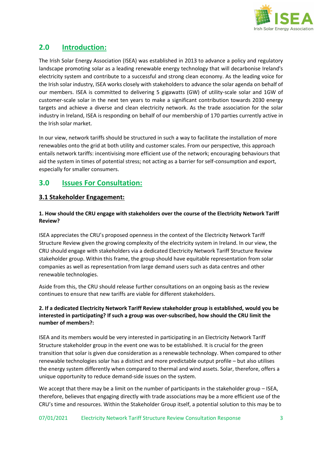

## **2.0 Introduction:**

The Irish Solar Energy Association (ISEA) was established in 2013 to advance a policy and regulatory landscape promoting solar as a leading renewable energy technology that will decarbonise Ireland's electricity system and contribute to a successful and strong clean economy. As the leading voice for the Irish solar industry, ISEA works closely with stakeholders to advance the solar agenda on behalf of our members. ISEA is committed to delivering 5 gigawatts (GW) of utility-scale solar and 1GW of customer-scale solar in the next ten years to make a significant contribution towards 2030 energy targets and achieve a diverse and clean electricity network. As the trade association for the solar industry in Ireland, ISEA is responding on behalf of our membership of 170 parties currently active in the Irish solar market.

In our view, network tariffs should be structured in such a way to facilitate the installation of more renewables onto the grid at both utility and customer scales. From our perspective, this approach entails network tariffs: incentivising more efficient use of the network; encouraging behaviours that aid the system in times of potential stress; not acting as a barrier for self-consumption and export, especially for smaller consumers.

## **3.0 Issues For Consultation:**

#### **3.1 Stakeholder Engagement:**

#### **1. How should the CRU engage with stakeholders over the course of the Electricity Network Tariff Review?**

ISEA appreciates the CRU's proposed openness in the context of the Electricity Network Tariff Structure Review given the growing complexity of the electricity system in Ireland. In our view, the CRU should engage with stakeholders via a dedicated Electricity Network Tariff Structure Review stakeholder group. Within this frame, the group should have equitable representation from solar companies as well as representation from large demand users such as data centres and other renewable technologies.

Aside from this, the CRU should release further consultations on an ongoing basis as the review continues to ensure that new tariffs are viable for different stakeholders.

#### **2. If a dedicated Electricity Network Tariff Review stakeholder group is established, would you be interested in participating? If such a group was over-subscribed, how should the CRU limit the number of members?:**

ISEA and its members would be very interested in participating in an Electricity Network Tariff Structure stakeholder group in the event one was to be established. It is crucial for the green transition that solar is given due consideration as a renewable technology. When compared to other renewable technologies solar has a distinct and more predictable output profile – but also utilises the energy system differently when compared to thermal and wind assets. Solar, therefore, offers a unique opportunity to reduce demand-side issues on the system.

We accept that there may be a limit on the number of participants in the stakeholder group - ISEA, therefore, believes that engaging directly with trade associations may be a more efficient use of the CRU's time and resources. Within the Stakeholder Group itself, a potential solution to this may be to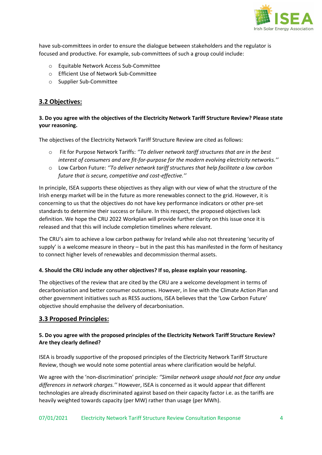

have sub-committees in order to ensure the dialogue between stakeholders and the regulator is focused and productive. For example, sub-committees of such a group could include:

- o Equitable Network Access Sub-Committee
- o Efficient Use of Network Sub-Committee
- o Supplier Sub-Committee

#### **3.2 Objectives:**

#### **3. Do you agree with the objectives of the Electricity Network Tariff Structure Review? Please state your reasoning.**

The objectives of the Electricity Network Tariff Structure Review are cited as follows:

- o Fit for Purpose Network Tariffs: *''To deliver network tariff structures that are in the best interest of consumers and are fit-for-purpose for the modern evolving electricity networks.''*
- o Low Carbon Future: *''To deliver network tariff structures that help facilitate a low carbon future that is secure, competitive and cost-effective.''*

In principle, ISEA supports these objectives as they align with our view of what the structure of the Irish energy market will be in the future as more renewables connect to the grid. However, it is concerning to us that the objectives do not have key performance indicators or other pre-set standards to determine their success or failure. In this respect, the proposed objectives lack definition. We hope the CRU 2022 Workplan will provide further clarity on this issue once it is released and that this will include completion timelines where relevant.

The CRU's aim to achieve a low carbon pathway for Ireland while also not threatening 'security of supply' is a welcome measure in theory – but in the past this has manifested in the form of hesitancy to connect higher levels of renewables and decommission thermal assets.

#### **4. Should the CRU include any other objectives? If so, please explain your reasoning.**

The objectives of the review that are cited by the CRU are a welcome development in terms of decarbonisation and better consumer outcomes. However, in line with the Climate Action Plan and other government initiatives such as RESS auctions, ISEA believes that the 'Low Carbon Future' objective should emphasise the delivery of decarbonisation.

#### **3.3 Proposed Principles:**

#### **5. Do you agree with the proposed principles of the Electricity Network Tariff Structure Review? Are they clearly defined?**

ISEA is broadly supportive of the proposed principles of the Electricity Network Tariff Structure Review, though we would note some potential areas where clarification would be helpful.

We agree with the 'non-discrimination' principle*: ''Similar network usage should not face any undue differences in network charges.''* However, ISEA is concerned as it would appear that different technologies are already discriminated against based on their capacity factor i.e. as the tariffs are heavily weighted towards capacity (per MW) rather than usage (per MWh).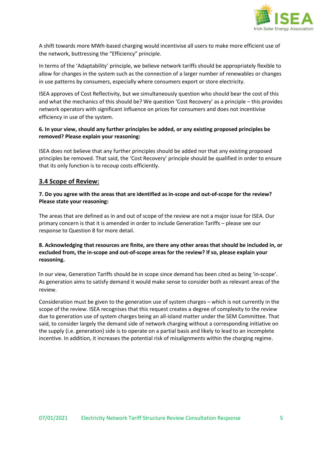

A shift towards more MWh-based charging would incentivise all users to make more efficient use of the network, buttressing the "Efficiency" principle.

In terms of the 'Adaptability' principle, we believe network tariffs should be appropriately flexible to allow for changes in the system such as the connection of a larger number of renewables or changes in use patterns by consumers, especially where consumers export or store electricity.

ISEA approves of Cost Reflectivity, but we simultaneously question who should bear the cost of this and what the mechanics of this should be? We question 'Cost Recovery' as a principle – this provides network operators with significant influence on prices for consumers and does not incentivise efficiency in use of the system.

#### **6. In your view, should any further principles be added, or any existing proposed principles be removed? Please explain your reasoning:**

ISEA does not believe that any further principles should be added nor that any existing proposed principles be removed. That said, the 'Cost Recovery' principle should be qualified in order to ensure that its only function is to recoup costs efficiently.

#### **3.4 Scope of Review:**

#### **7. Do you agree with the areas that are identified as in-scope and out-of-scope for the review? Please state your reasoning:**

The areas that are defined as in and out of scope of the review are not a major issue for ISEA. Our primary concern is that it is amended in order to include Generation Tariffs – please see our response to Question 8 for more detail.

#### **8. Acknowledging that resources are finite, are there any other areas that should be included in, or excluded from, the in-scope and out-of-scope areas for the review? If so, please explain your reasoning.**

In our view, Generation Tariffs should be in scope since demand has been cited as being 'in-scope'. As generation aims to satisfy demand it would make sense to consider both as relevant areas of the review.

Consideration must be given to the generation use of system charges – which is not currently in the scope of the review. ISEA recognises that this request creates a degree of complexity to the review due to generation use of system charges being an all-island matter under the SEM Committee. That said, to consider largely the demand side of network charging without a corresponding initiative on the supply (i.e. generation) side is to operate on a partial basis and likely to lead to an incomplete incentive. In addition, it increases the potential risk of misalignments within the charging regime.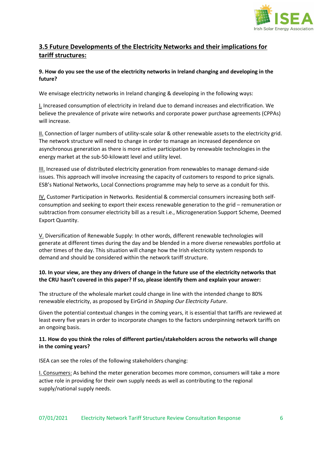

### **3.5 Future Developments of the Electricity Networks and their implications for tariff structures:**

#### **9. How do you see the use of the electricity networks in Ireland changing and developing in the future?**

We envisage electricity networks in Ireland changing & developing in the following ways:

I. Increased consumption of electricity in Ireland due to demand increases and electrification. We believe the prevalence of private wire networks and corporate power purchase agreements (CPPAs) will increase.

II. Connection of larger numbers of utility-scale solar & other renewable assets to the electricity grid. The network structure will need to change in order to manage an increased dependence on asynchronous generation as there is more active participation by renewable technologies in the energy market at the sub-50-kilowatt level and utility level.

III. Increased use of distributed electricity generation from renewables to manage demand-side issues. This approach will involve increasing the capacity of customers to respond to price signals. ESB's National Networks, Local Connections programme may help to serve as a conduit for this.

IV. Customer Participation in Networks. Residential & commercial consumers increasing both selfconsumption and seeking to export their excess renewable generation to the grid – remuneration or subtraction from consumer electricity bill as a result i.e., Microgeneration Support Scheme, Deemed Export Quantity.

V. Diversification of Renewable Supply: In other words, different renewable technologies will generate at different times during the day and be blended in a more diverse renewables portfolio at other times of the day. This situation will change how the Irish electricity system responds to demand and should be considered within the network tariff structure.

#### **10. In your view, are they any drivers of change in the future use of the electricity networks that the CRU hasn't covered in this paper? If so, please identify them and explain your answer:**

The structure of the wholesale market could change in line with the intended change to 80% renewable electricity, as proposed by EirGrid in *Shaping Our Electricity Future*.

Given the potential contextual changes in the coming years, it is essential that tariffs are reviewed at least every five years in order to incorporate changes to the factors underpinning network tariffs on an ongoing basis.

#### **11. How do you think the roles of different parties/stakeholders across the networks will change in the coming years?**

ISEA can see the roles of the following stakeholders changing:

I. Consumers: As behind the meter generation becomes more common, consumers will take a more active role in providing for their own supply needs as well as contributing to the regional supply/national supply needs.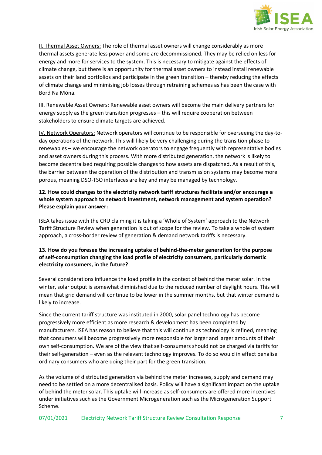

II. Thermal Asset Owners: The role of thermal asset owners will change considerably as more thermal assets generate less power and some are decommissioned. They may be relied on less for energy and more for services to the system. This is necessary to mitigate against the effects of climate change, but there is an opportunity for thermal asset owners to instead install renewable assets on their land portfolios and participate in the green transition – thereby reducing the effects of climate change and minimising job losses through retraining schemes as has been the case with Bord Na Móna.

III. Renewable Asset Owners: Renewable asset owners will become the main delivery partners for energy supply as the green transition progresses – this will require cooperation between stakeholders to ensure climate targets are achieved.

IV. Network Operators: Network operators will continue to be responsible for overseeing the day-today operations of the network. This will likely be very challenging during the transition phase to renewables – we encourage the network operators to engage frequently with representative bodies and asset owners during this process. With more distributed generation, the network is likely to become decentralised requiring possible changes to how assets are dispatched. As a result of this, the barrier between the operation of the distribution and transmission systems may become more porous, meaning DSO-TSO interfaces are key and may be managed by technology.

#### **12. How could changes to the electricity network tariff structures facilitate and/or encourage a whole system approach to network investment, network management and system operation? Please explain your answer:**

ISEA takes issue with the CRU claiming it is taking a 'Whole of System' approach to the Network Tariff Structure Review when generation is out of scope for the review. To take a whole of system approach, a cross-border review of generation & demand network tariffs is necessary.

#### **13. How do you foresee the increasing uptake of behind-the-meter generation for the purpose of self-consumption changing the load profile of electricity consumers, particularly domestic electricity consumers, in the future?**

Several considerations influence the load profile in the context of behind the meter solar. In the winter, solar output is somewhat diminished due to the reduced number of daylight hours. This will mean that grid demand will continue to be lower in the summer months, but that winter demand is likely to increase.

Since the current tariff structure was instituted in 2000, solar panel technology has become progressively more efficient as more research & development has been completed by manufacturers. ISEA has reason to believe that this will continue as technology is refined, meaning that consumers will become progressively more responsible for larger and larger amounts of their own self-consumption. We are of the view that self-consumers should not be charged via tariffs for their self-generation – even as the relevant technology improves. To do so would in effect penalise ordinary consumers who are doing their part for the green transition.

As the volume of distributed generation via behind the meter increases, supply and demand may need to be settled on a more decentralised basis. Policy will have a significant impact on the uptake of behind the meter solar. This uptake will increase as self-consumers are offered more incentives under initiatives such as the Government Microgeneration such as the Microgeneration Support Scheme.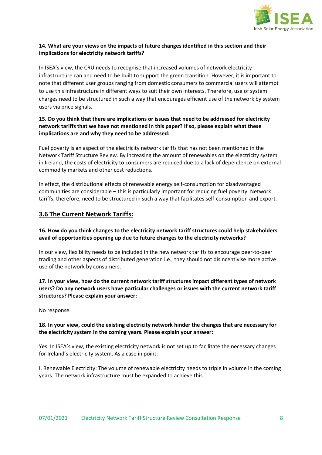

#### **14. What are your views on the impacts of future changes identified in this section and their implications for electricity network tariffs?**

In ISEA's view, the CRU needs to recognise that increased volumes of network electricity infrastructure can and need to be built to support the green transition. However, it is important to note that different user groups ranging from domestic consumers to commercial users will attempt to use this infrastructure in different ways to suit their own interests. Therefore, use of system charges need to be structured in such a way that encourages efficient use of the network by system users via price signals.

#### **15. Do you think that there are implications or issues that need to be addressed for electricity network tariffs that we have not mentioned in this paper? If so, please explain what these implications are and why they need to be addressed:**

Fuel poverty is an aspect of the electricity network tariffs that has not been mentioned in the Network Tariff Structure Review. By increasing the amount of renewables on the electricity system in Ireland, the costs of electricity to consumers are reduced due to a lack of dependence on external commodity markets and other cost reductions.

In effect, the distributional effects of renewable energy self-consumption for disadvantaged communities are considerable – this is particularly important for reducing fuel poverty. Network tariffs, therefore, need to be structured in such a way that facilitates self-consumption and export.

#### **3.6 The Current Network Tariffs:**

**16. How do you think changes to the electricity network tariff structures could help stakeholders avail of opportunities opening up due to future changes to the electricity networks?**

In our view, flexibility needs to be included in the new network tariffs to encourage peer-to-peer trading and other aspects of distributed generation i.e., they should not disincentivise more active use of the network by consumers.

#### **17. In your view, how do the current network tariff structures impact different types of network users? Do any network users have particular challenges or issues with the current network tariff structures? Please explain your answer:**

No response.

#### **18. In your view, could the existing electricity network hinder the changes that are necessary for the electricity system in the coming years. Please explain your answer:**

Yes. In ISEA's view, the existing electricity network is not set up to facilitate the necessary changes for Ireland's electricity system. As a case in point:

I. Renewable Electricity: The volume of renewable electricity needs to triple in volume in the coming years. The network infrastructure must be expanded to achieve this.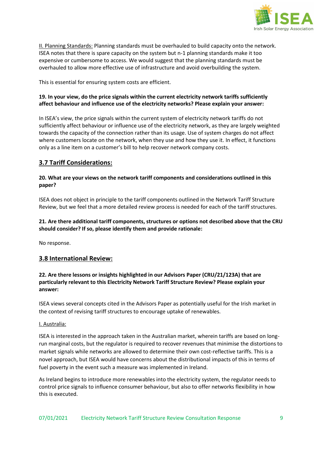

II. Planning Standards: Planning standards must be overhauled to build capacity onto the network. ISEA notes that there is spare capacity on the system but n-1 planning standards make it too expensive or cumbersome to access. We would suggest that the planning standards must be overhauled to allow more effective use of infrastructure and avoid overbuilding the system.

This is essential for ensuring system costs are efficient.

#### **19. In your view, do the price signals within the current electricity network tariffs sufficiently affect behaviour and influence use of the electricity networks? Please explain your answer:**

In ISEA's view, the price signals within the current system of electricity network tariffs do not sufficiently affect behaviour or influence use of the electricity network, as they are largely weighted towards the capacity of the connection rather than its usage. Use of system charges do not affect where customers locate on the network, when they use and how they use it. In effect, it functions only as a line item on a customer's bill to help recover network company costs.

#### **3.7 Tariff Considerations:**

#### **20. What are your views on the network tariff components and considerations outlined in this paper?**

ISEA does not object in principle to the tariff components outlined in the Network Tariff Structure Review, but we feel that a more detailed review process is needed for each of the tariff structures.

#### **21. Are there additional tariff components, structures or options not described above that the CRU should consider? If so, please identify them and provide rationale:**

No response.

#### **3.8 International Review:**

#### **22. Are there lessons or insights highlighted in our Advisors Paper (CRU/21/123A) that are particularly relevant to this Electricity Network Tariff Structure Review? Please explain your answer:**

ISEA views several concepts cited in the Advisors Paper as potentially useful for the Irish market in the context of revising tariff structures to encourage uptake of renewables.

#### I. Australia:

ISEA is interested in the approach taken in the Australian market, wherein tariffs are based on longrun marginal costs, but the regulator is required to recover revenues that minimise the distortions to market signals while networks are allowed to determine their own cost-reflective tariffs. This is a novel approach, but ISEA would have concerns about the distributional impacts of this in terms of fuel poverty in the event such a measure was implemented in Ireland.

As Ireland begins to introduce more renewables into the electricity system, the regulator needs to control price signals to influence consumer behaviour, but also to offer networks flexibility in how this is executed.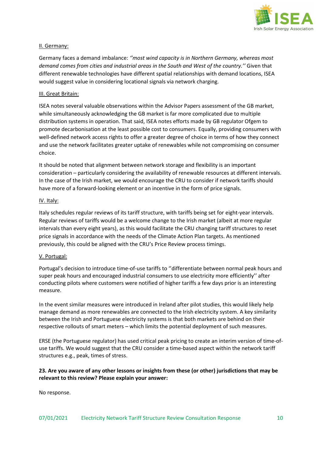

#### II. Germany:

Germany faces a demand imbalance: *''most wind capacity is in Northern Germany, whereas most demand comes from cities and industrial areas in the South and West of the country.''* Given that different renewable technologies have different spatial relationships with demand locations, ISEA would suggest value in considering locational signals via network charging.

#### III. Great Britain:

ISEA notes several valuable observations within the Advisor Papers assessment of the GB market, while simultaneously acknowledging the GB market is far more complicated due to multiple distribution systems in operation. That said, ISEA notes efforts made by GB regulator Ofgem to promote decarbonisation at the least possible cost to consumers. Equally, providing consumers with well-defined network access rights to offer a greater degree of choice in terms of how they connect and use the network facilitates greater uptake of renewables while not compromising on consumer choice.

It should be noted that alignment between network storage and flexibility is an important consideration – particularly considering the availability of renewable resources at different intervals. In the case of the Irish market, we would encourage the CRU to consider if network tariffs should have more of a forward-looking element or an incentive in the form of price signals.

#### IV. Italy:

Italy schedules regular reviews of its tariff structure, with tariffs being set for eight-year intervals. Regular reviews of tariffs would be a welcome change to the Irish market (albeit at more regular intervals than every eight years), as this would facilitate the CRU changing tariff structures to reset price signals in accordance with the needs of the Climate Action Plan targets. As mentioned previously, this could be aligned with the CRU's Price Review process timings.

#### V. Portugal:

Portugal's decision to introduce time-of-use tariffs to ''differentiate between normal peak hours and super peak hours and encouraged industrial consumers to use electricity more efficiently'' after conducting pilots where customers were notified of higher tariffs a few days prior is an interesting measure.

In the event similar measures were introduced in Ireland after pilot studies, this would likely help manage demand as more renewables are connected to the Irish electricity system. A key similarity between the Irish and Portuguese electricity systems is that both markets are behind on their respective rollouts of smart meters – which limits the potential deployment of such measures.

ERSE (the Portuguese regulator) has used critical peak pricing to create an interim version of time-ofuse tariffs. We would suggest that the CRU consider a time-based aspect within the network tariff structures e.g., peak, times of stress.

#### **23. Are you aware of any other lessons or insights from these (or other) jurisdictions that may be relevant to this review? Please explain your answer:**

No response.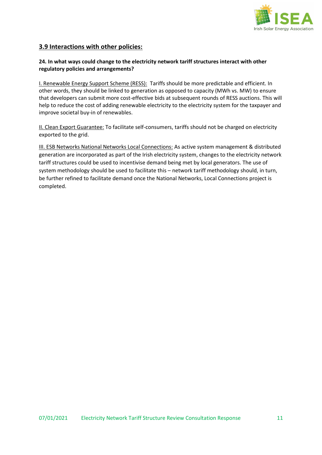

#### **3.9 Interactions with other policies:**

#### **24. In what ways could change to the electricity network tariff structures interact with other regulatory policies and arrangements?**

I. Renewable Energy Support Scheme (RESS): Tariffs should be more predictable and efficient. In other words, they should be linked to generation as opposed to capacity (MWh vs. MW) to ensure that developers can submit more cost-effective bids at subsequent rounds of RESS auctions. This will help to reduce the cost of adding renewable electricity to the electricity system for the taxpayer and improve societal buy-in of renewables.

II. Clean Export Guarantee: To facilitate self-consumers, tariffs should not be charged on electricity exported to the grid.

III. ESB Networks National Networks Local Connections: As active system management & distributed generation are incorporated as part of the Irish electricity system, changes to the electricity network tariff structures could be used to incentivise demand being met by local generators. The use of system methodology should be used to facilitate this – network tariff methodology should, in turn, be further refined to facilitate demand once the National Networks, Local Connections project is completed.